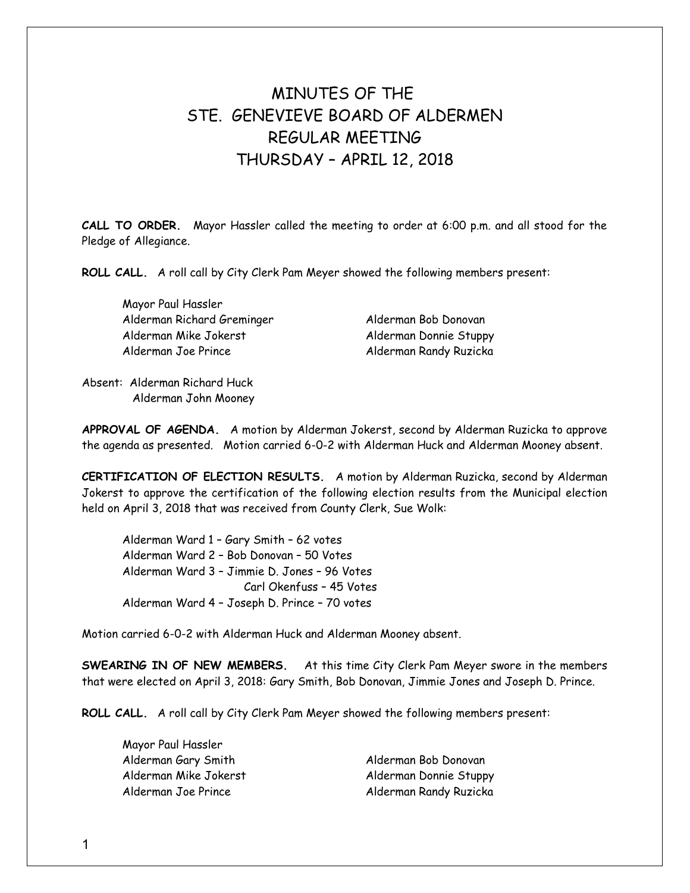# MINUTES OF THE STE GENEVIEVE BOARD OF ALDERMEN REGULAR MEETING THURSDAY – APRIL 12, 2018

**CALL TO ORDER.** Mayor Hassler called the meeting to order at 6:00 p.m. and all stood for the Pledge of Allegiance.

**ROLL CALL.** A roll call by City Clerk Pam Meyer showed the following members present:

Mayor Paul Hassler Alderman Richard Greminger Alderman Bob Donovan Alderman Mike Jokerst Alderman Donnie Stuppy Alderman Joe Prince **Alderman Randy Ruzicka** 

Absent: Alderman Richard Huck Alderman John Mooney

**APPROVAL OF AGENDA.** A motion by Alderman Jokerst, second by Alderman Ruzicka to approve the agenda as presented. Motion carried 6-0-2 with Alderman Huck and Alderman Mooney absent.

**CERTIFICATION OF ELECTION RESULTS.** A motion by Alderman Ruzicka, second by Alderman Jokerst to approve the certification of the following election results from the Municipal election held on April 3, 2018 that was received from County Clerk, Sue Wolk:

Alderman Ward 1 – Gary Smith – 62 votes Alderman Ward 2 – Bob Donovan – 50 Votes Alderman Ward 3 – Jimmie D. Jones – 96 Votes Carl Okenfuss – 45 Votes Alderman Ward 4 – Joseph D. Prince – 70 votes

Motion carried 6-0-2 with Alderman Huck and Alderman Mooney absent.

**SWEARING IN OF NEW MEMBERS.** At this time City Clerk Pam Meyer swore in the members that were elected on April 3, 2018: Gary Smith, Bob Donovan, Jimmie Jones and Joseph D. Prince.

**ROLL CALL.** A roll call by City Clerk Pam Meyer showed the following members present:

Mayor Paul Hassler Alderman Gary Smith Alderman Bob Donovan

Alderman Mike Jokerst Alderman Donnie Stuppy Alderman Joe Prince **Alderman Randy Ruzicka**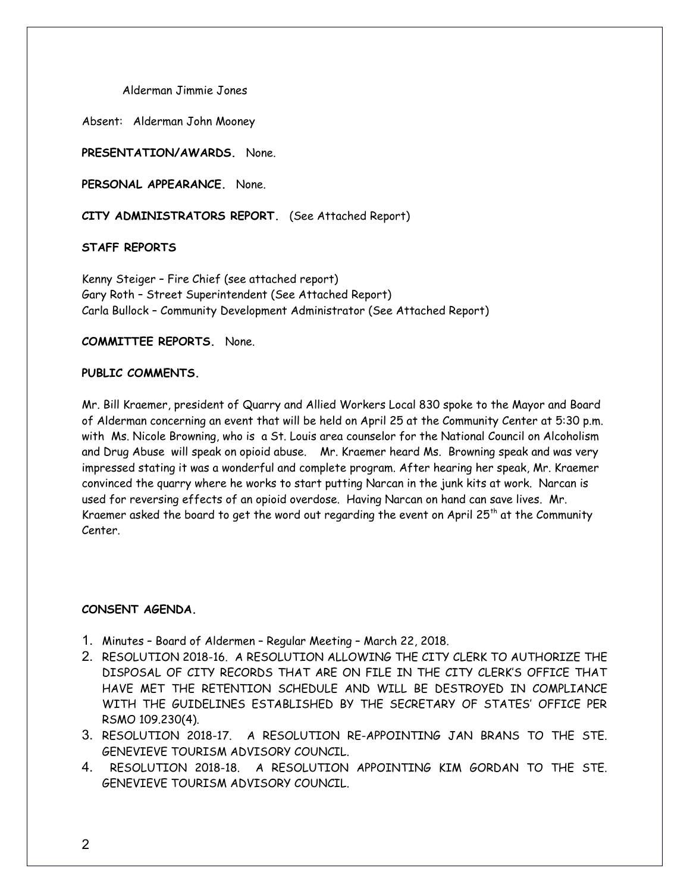Alderman Jimmie Jones

Absent: Alderman John Mooney

**PRESENTATION/AWARDS.** None.

**PERSONAL APPEARANCE.** None.

**CITY ADMINISTRATORS REPORT.** (See Attached Report)

## **STAFF REPORTS**

Kenny Steiger – Fire Chief (see attached report) Gary Roth – Street Superintendent (See Attached Report) Carla Bullock – Community Development Administrator (See Attached Report)

## **COMMITTEE REPORTS.** None.

## **PUBLIC COMMENTS.**

Mr. Bill Kraemer, president of Quarry and Allied Workers Local 830 spoke to the Mayor and Board of Alderman concerning an event that will be held on April 25 at the Community Center at 5:30 p.m. with Ms. Nicole Browning, who is a St. Louis area counselor for the National Council on Alcoholism and Drug Abuse will speak on opioid abuse. Mr. Kraemer heard Ms. Browning speak and was very impressed stating it was a wonderful and complete program. After hearing her speak, Mr. Kraemer convinced the quarry where he works to start putting Narcan in the junk kits at work. Narcan is used for reversing effects of an opioid overdose. Having Narcan on hand can save lives. Mr. Kraemer asked the board to get the word out regarding the event on April 25<sup>th</sup> at the Community Center.

## **CONSENT AGENDA.**

- 1. Minutes Board of Aldermen Regular Meeting March 22, 2018.
- 2. RESOLUTION 2018-16. A RESOLUTION ALLOWING THE CITY CLERK TO AUTHORIZE THE DISPOSAL OF CITY RECORDS THAT ARE ON FILE IN THE CITY CLERK'S OFFICE THAT HAVE MET THE RETENTION SCHEDULE AND WILL BE DESTROYED IN COMPLIANCE WITH THE GUIDELINES ESTABLISHED BY THE SECRETARY OF STATES' OFFICE PER RSMO 109.230(4).
- 3. RESOLUTION 2018-17. A RESOLUTION RE-APPOINTING JAN BRANS TO THE STE. GENEVIEVE TOURISM ADVISORY COUNCIL.
- 4. RESOLUTION 2018-18. A RESOLUTION APPOINTING KIM GORDAN TO THE STE. GENEVIEVE TOURISM ADVISORY COUNCIL.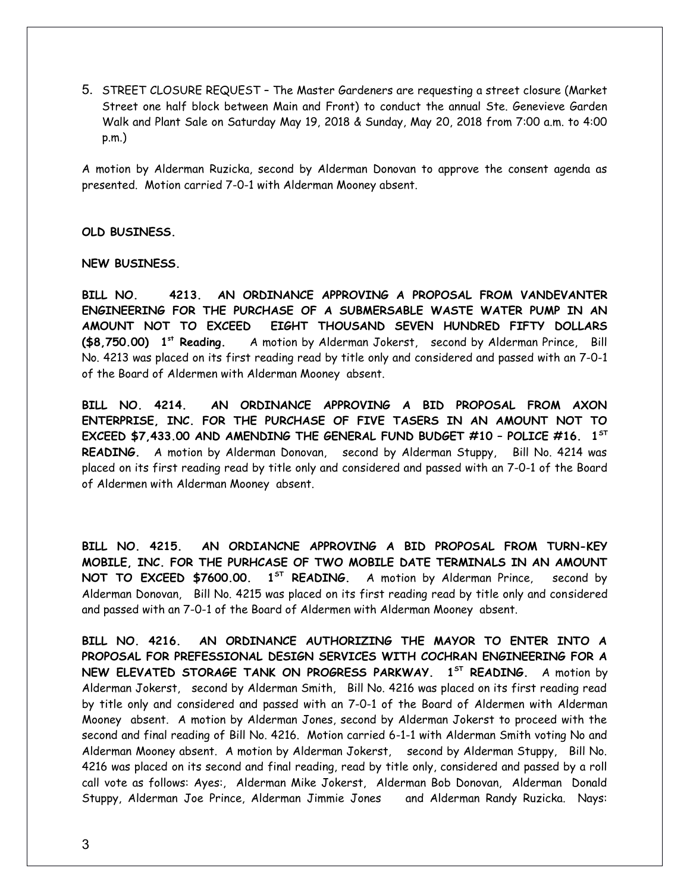5. STREET CLOSURE REQUEST – The Master Gardeners are requesting a street closure (Market Street one half block between Main and Front) to conduct the annual Ste. Genevieve Garden Walk and Plant Sale on Saturday May 19, 2018 & Sunday, May 20, 2018 from 7:00 a.m. to 4:00 p.m.)

A motion by Alderman Ruzicka, second by Alderman Donovan to approve the consent agenda as presented. Motion carried 7-0-1 with Alderman Mooney absent.

#### **OLD BUSINESS.**

#### **NEW BUSINESS.**

**BILL NO. 4213. AN ORDINANCE APPROVING A PROPOSAL FROM VANDEVANTER ENGINEERING FOR THE PURCHASE OF A SUBMERSABLE WASTE WATER PUMP IN AN AMOUNT NOT TO EXCEED EIGHT THOUSAND SEVEN HUNDRED FIFTY DOLLARS (\$8,750.00) 1 st Reading.** A motion by Alderman Jokerst, second by Alderman Prince, Bill No. 4213 was placed on its first reading read by title only and considered and passed with an 7-0-1 of the Board of Aldermen with Alderman Mooney absent.

**BILL NO. 4214. AN ORDINANCE APPROVING A BID PROPOSAL FROM AXON ENTERPRISE, INC. FOR THE PURCHASE OF FIVE TASERS IN AN AMOUNT NOT TO EXCEED \$7,433.00 AND AMENDING THE GENERAL FUND BUDGET #10 – POLICE #16. 1ST READING.** A motion by Alderman Donovan, second by Alderman Stuppy, Bill No. 4214 was placed on its first reading read by title only and considered and passed with an 7-0-1 of the Board of Aldermen with Alderman Mooney absent.

**BILL NO. 4215. AN ORDIANCNE APPROVING A BID PROPOSAL FROM TURN-KEY MOBILE, INC. FOR THE PURHCASE OF TWO MOBILE DATE TERMINALS IN AN AMOUNT NOT TO EXCEED \$7600.00. 1ST READING.** A motion by Alderman Prince, second by Alderman Donovan, Bill No. 4215 was placed on its first reading read by title only and considered and passed with an 7-0-1 of the Board of Aldermen with Alderman Mooney absent.

**BILL NO. 4216. AN ORDINANCE AUTHORIZING THE MAYOR TO ENTER INTO A PROPOSAL FOR PREFESSIONAL DESIGN SERVICES WITH COCHRAN ENGINEERING FOR A NEW ELEVATED STORAGE TANK ON PROGRESS PARKWAY. 1ST READING.** A motion by Alderman Jokerst, second by Alderman Smith, Bill No. 4216 was placed on its first reading read by title only and considered and passed with an 7-0-1 of the Board of Aldermen with Alderman Mooney absent. A motion by Alderman Jones, second by Alderman Jokerst to proceed with the second and final reading of Bill No. 4216. Motion carried 6-1-1 with Alderman Smith voting No and Alderman Mooney absent. A motion by Alderman Jokerst, second by Alderman Stuppy, Bill No. 4216 was placed on its second and final reading, read by title only, considered and passed by a roll call vote as follows: Ayes:, Alderman Mike Jokerst, Alderman Bob Donovan, Alderman Donald Stuppy, Alderman Joe Prince, Alderman Jimmie Jones and Alderman Randy Ruzicka. Nays: